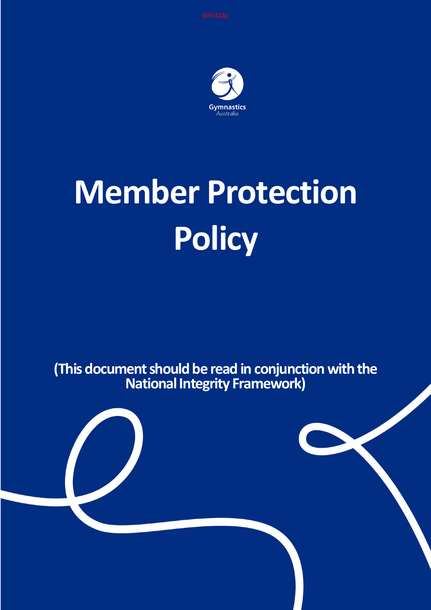

# **Member Protection Policy**

**(This document should be read in conjunction with the National Integrity Framework)**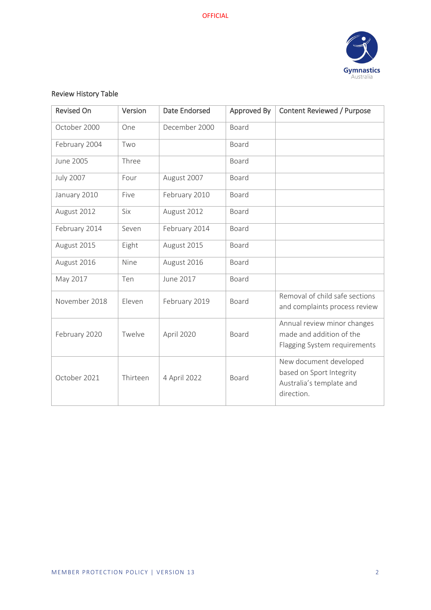

### Review History Table

| <b>Revised On</b> | Version    | <b>Date Endorsed</b> | Approved By | <b>Content Reviewed / Purpose</b>                                                            |
|-------------------|------------|----------------------|-------------|----------------------------------------------------------------------------------------------|
| October 2000      | One        | December 2000        | Board       |                                                                                              |
| February 2004     | Two        |                      | Board       |                                                                                              |
| June 2005         | Three      |                      | Board       |                                                                                              |
| <b>July 2007</b>  | Four       | August 2007          | Board       |                                                                                              |
| January 2010      | Five       | February 2010        | Board       |                                                                                              |
| August 2012       | <b>Six</b> | August 2012          | Board       |                                                                                              |
| February 2014     | Seven      | February 2014        | Board       |                                                                                              |
| August 2015       | Eight      | August 2015          | Board       |                                                                                              |
| August 2016       | Nine       | August 2016          | Board       |                                                                                              |
| May 2017          | Ten        | June 2017            | Board       |                                                                                              |
| November 2018     | Eleven     | February 2019        | Board       | Removal of child safe sections<br>and complaints process review                              |
| February 2020     | Twelve     | April 2020           | Board       | Annual review minor changes<br>made and addition of the<br>Flagging System requirements      |
| October 2021      | Thirteen   | 4 April 2022         | Board       | New document developed<br>based on Sport Integrity<br>Australia's template and<br>direction. |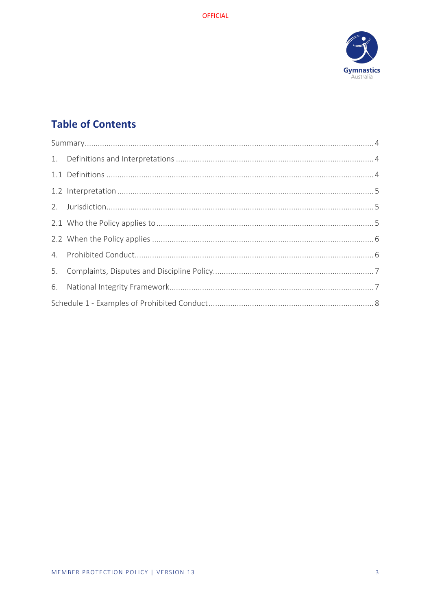

# **Table of Contents**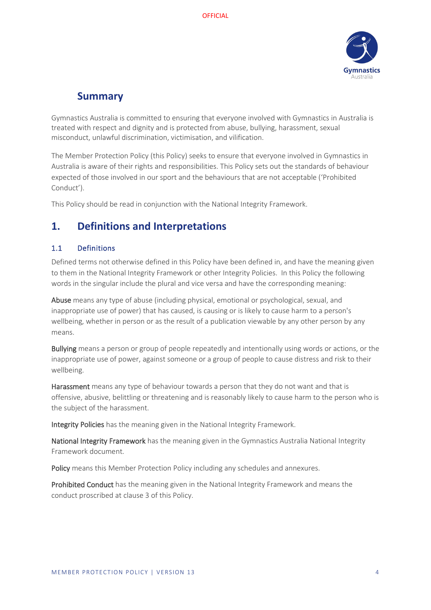

## **Summary**

<span id="page-3-0"></span>Gymnastics Australia is committed to ensuring that everyone involved with Gymnastics in Australia is treated with respect and dignity and is protected from abuse, bullying, harassment, sexual misconduct, unlawful discrimination, victimisation, and vilification.

The Member Protection Policy (this Policy) seeks to ensure that everyone involved in Gymnastics in Australia is aware of their rights and responsibilities. This Policy sets out the standards of behaviour expected of those involved in our sport and the behaviours that are not acceptable ('Prohibited Conduct').

This Policy should be read in conjunction with the National Integrity Framework.

## <span id="page-3-1"></span>**1. Definitions and Interpretations**

#### <span id="page-3-2"></span>1.1 Definitions

Defined terms not otherwise defined in this Policy have been defined in, and have the meaning given to them in the National Integrity Framework or other Integrity Policies. In this Policy the following words in the singular include the plural and vice versa and have the corresponding meaning:

Abuse means any type of abuse (including physical, emotional or psychological, sexual, and inappropriate use of power) that has caused, is causing or is likely to cause harm to a person's wellbeing, whether in person or as the result of a publication viewable by any other person by any means.

Bullying means a person or group of people repeatedly and intentionally using words or actions, or the inappropriate use of power, against someone or a group of people to cause distress and risk to their wellbeing.

Harassment means any type of behaviour towards a person that they do not want and that is offensive, abusive, belittling or threatening and is reasonably likely to cause harm to the person who is the subject of the harassment.

Integrity Policies has the meaning given in the National Integrity Framework.

National Integrity Framework has the meaning given in the Gymnastics Australia National Integrity Framework document.

Policy means this Member Protection Policy including any schedules and annexures.

Prohibited Conduct has the meaning given in the National Integrity Framework and means the conduct proscribed at clause 3 of this Policy.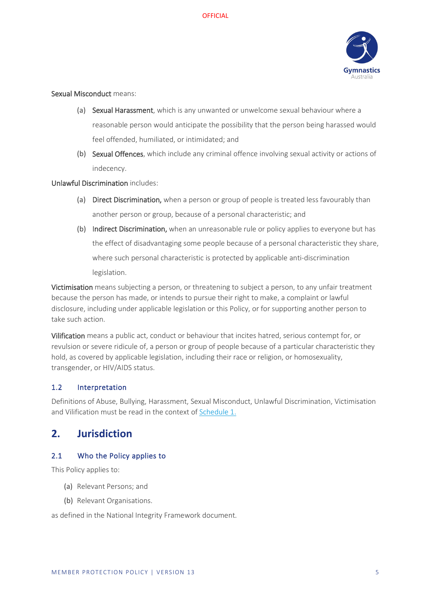

#### Sexual Misconduct means:

- (a) Sexual Harassment, which is any unwanted or unwelcome sexual behaviour where a reasonable person would anticipate the possibility that the person being harassed would feel offended, humiliated, or intimidated; and
- (b) Sexual Offences, which include any criminal offence involving sexual activity or actions of indecency.

#### Unlawful Discrimination includes:

- (a) Direct Discrimination, when a person or group of people is treated less favourably than another person or group, because of a personal characteristic; and
- (b) Indirect Discrimination, when an unreasonable rule or policy applies to everyone but has the effect of disadvantaging some people because of a personal characteristic they share, where such personal characteristic is protected by applicable anti-discrimination legislation.

Victimisation means subjecting a person, or threatening to subject a person, to any unfair treatment because the person has made, or intends to pursue their right to make, a complaint or lawful disclosure, including under applicable legislation or this Policy, or for supporting another person to take such action.

Vilification means a public act, conduct or behaviour that incites hatred, serious contempt for, or revulsion or severe ridicule of, a person or group of people because of a particular characteristic they hold, as covered by applicable legislation, including their race or religion, or homosexuality, transgender, or HIV/AIDS status.

#### <span id="page-4-0"></span>1.2 Interpretation

Definitions of Abuse, Bullying, Harassment, Sexual Misconduct, Unlawful Discrimination, Victimisation and Vilification must be read in the context of [Schedule 1.](#page-7-0)

## <span id="page-4-1"></span>**2. Jurisdiction**

#### <span id="page-4-2"></span>2.1 Who the Policy applies to

This Policy applies to:

- (a) Relevant Persons; and
- (b) Relevant Organisations.

as defined in the National Integrity Framework document.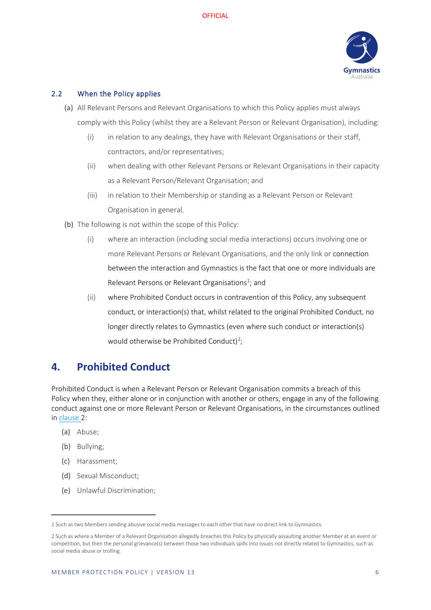

#### <span id="page-5-0"></span>2.2 When the Policy applies

- (a) All Relevant Persons and Relevant Organisations to which this Policy applies must always comply with this Policy (whilst they are a Relevant Person or Relevant Organisation), including:
	- (i) in relation to any dealings, they have with Relevant Organisations or their staff, contractors, and/or representatives;
	- (ii) when dealing with other Relevant Persons or Relevant Organisations in their capacity as a Relevant Person/Relevant Organisation; and
	- (iii) in relation to their Membership or standing as a Relevant Person or Relevant Organisation in general.
- (b) The following is not within the scope of this Policy:
	- (i) where an interaction (including social media interactions) occurs involving one or more Relevant Persons or Relevant Organisations, and the only link or connection between the interaction and Gymnastics is the fact that one or more individuals are Relevant Persons or Relevant Organisations<sup>[1](#page-5-2)</sup>; and
	- (ii) where Prohibited Conduct occurs in contravention of this Policy, any subsequent conduct, or interaction(s) that, whilst related to the original Prohibited Conduct, no longer directly relates to Gymnastics (even where such conduct or interaction(s) would otherwise be Prohibited Conduct)<sup>2</sup>;

## <span id="page-5-1"></span>**4. Prohibited Conduct**

Prohibited Conduct is when a Relevant Person or Relevant Organisation commits a breach of this Policy when they, either alone or in conjunction with another or others, engage in any of the following conduct against one or more Relevant Person or Relevant Organisations, in the circumstances outlined in clause 2:

- (a) Abuse;
- (b) Bullying;
- (c) Harassment;
- (d) Sexual Misconduct;
- (e) Unlawful Discrimination;

<span id="page-5-2"></span><sup>1</sup> Such as two Members sending abusive social media messages to each other that have no direct link to Gymnastics.

<span id="page-5-3"></span><sup>2</sup> Such as where a Member of a Relevant Organisation allegedly breaches this Policy by physically assaulting another Member at an event or competition, but then the personal grievance(s) between those two individuals spills into issues not directly related to Gymnastics, such as social media abuse or trolling.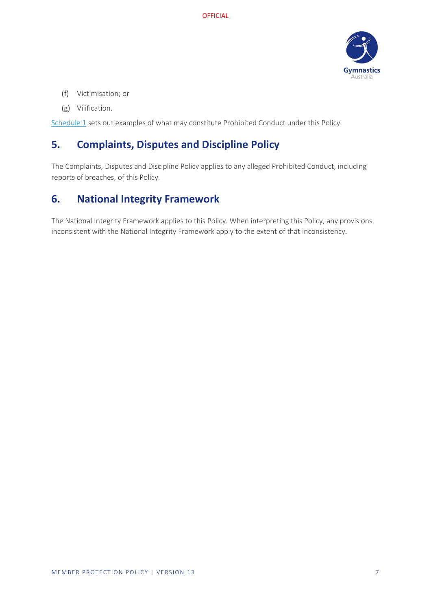

- (f) Victimisation; or
- (g) Vilification.

[Schedule 1](#page-7-0) sets out examples of what may constitute Prohibited Conduct under this Policy.

# <span id="page-6-0"></span>**5. Complaints, Disputes and Discipline Policy**

The Complaints, Disputes and Discipline Policy applies to any alleged Prohibited Conduct, including reports of breaches, of this Policy.

## <span id="page-6-1"></span>**6. National Integrity Framework**

The National Integrity Framework applies to this Policy. When interpreting this Policy, any provisions inconsistent with the National Integrity Framework apply to the extent of that inconsistency.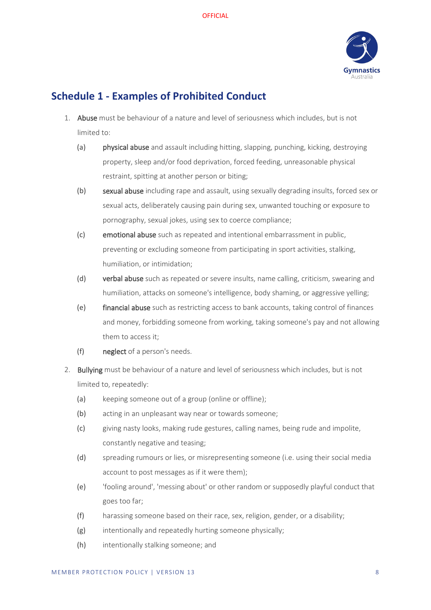

## <span id="page-7-0"></span>**Schedule 1 - Examples of Prohibited Conduct**

- 1. Abuse must be behaviour of a nature and level of seriousness which includes, but is not limited to:
	- (a) physical abuse and assault including hitting, slapping, punching, kicking, destroying property, sleep and/or food deprivation, forced feeding, unreasonable physical restraint, spitting at another person or biting;
	- (b) sexual abuse including rape and assault, using sexually degrading insults, forced sex or sexual acts, deliberately causing pain during sex, unwanted touching or exposure to pornography, sexual jokes, using sex to coerce compliance;
	- (c) emotional abuse such as repeated and intentional embarrassment in public, preventing or excluding someone from participating in sport activities, stalking, humiliation, or intimidation;
	- (d) verbal abuse such as repeated or severe insults, name calling, criticism, swearing and humiliation, attacks on someone's intelligence, body shaming, or aggressive yelling;
	- (e) financial abuse such as restricting access to bank accounts, taking control of finances and money, forbidding someone from working, taking someone's pay and not allowing them to access it;
	- (f) neglect of a person's needs.
- 2. Bullying must be behaviour of a nature and level of seriousness which includes, but is not limited to, repeatedly:
	- (a) keeping someone out of a group (online or offline);
	- (b) acting in an unpleasant way near or towards someone;
	- (c) giving nasty looks, making rude gestures, calling names, being rude and impolite, constantly negative and teasing;
	- (d) spreading rumours or lies, or misrepresenting someone (i.e. using their social media account to post messages as if it were them);
	- (e) 'fooling around', 'messing about' or other random or supposedly playful conduct that goes too far;
	- (f) harassing someone based on their race, sex, religion, gender, or a disability;
	- (g) intentionally and repeatedly hurting someone physically;
	- (h) intentionally stalking someone; and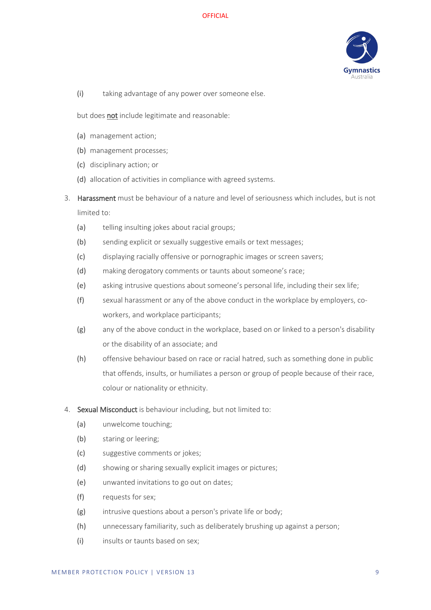**OFFICIAL** 



(i) taking advantage of any power over someone else.

but does not include legitimate and reasonable:

- (a) management action;
- (b) management processes;
- (c) disciplinary action; or
- (d) allocation of activities in compliance with agreed systems.
- 3. Harassment must be behaviour of a nature and level of seriousness which includes, but is not limited to:
	- (a) telling insulting jokes about racial groups;
	- (b) sending explicit or sexually suggestive emails or text messages;
	- (c) displaying racially offensive or pornographic images or screen savers;
	- (d) making derogatory comments or taunts about someone's race;
	- (e) asking intrusive questions about someone's personal life, including their sex life;
	- (f) sexual harassment or any of the above conduct in the workplace by employers, coworkers, and workplace participants;
	- (g) any of the above conduct in the workplace, based on or linked to a person's disability or the disability of an associate; and
	- (h) offensive behaviour based on race or racial hatred, such as something done in public that offends, insults, or humiliates a person or group of people because of their race, colour or nationality or ethnicity.
- 4. Sexual Misconduct is behaviour including, but not limited to:
	- (a) unwelcome touching;
	- (b) staring or leering;
	- (c) suggestive comments or jokes;
	- (d) showing or sharing sexually explicit images or pictures;
	- (e) unwanted invitations to go out on dates;
	- (f) requests for sex;
	- (g) intrusive questions about a person's private life or body;
	- (h) unnecessary familiarity, such as deliberately brushing up against a person;
	- (i) insults or taunts based on sex;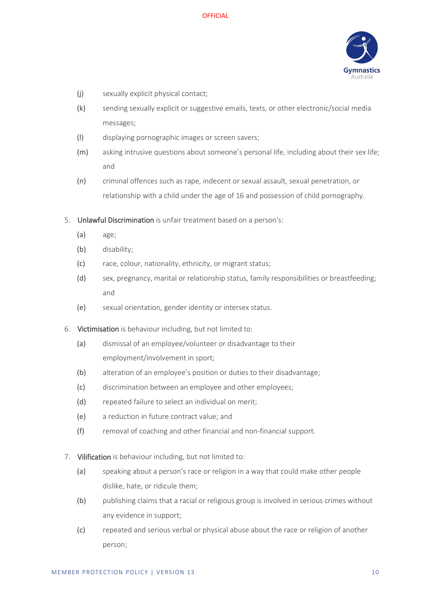

- (j) sexually explicit physical contact;
- (k) sending sexually explicit or suggestive emails, texts, or other electronic/social media messages;
- (l) displaying pornographic images or screen savers;
- (m) asking intrusive questions about someone's personal life, including about their sex life; and
- (n) criminal offences such as rape, indecent or sexual assault, sexual penetration, or relationship with a child under the age of 16 and possession of child pornography.
- 5. Unlawful Discrimination is unfair treatment based on a person's:
	- (a) age;
	- (b) disability;
	- (c) race, colour, nationality, ethnicity, or migrant status;
	- (d) sex, pregnancy, marital or relationship status, family responsibilities or breastfeeding; and
	- (e) sexual orientation, gender identity or intersex status.
- 6. Victimisation is behaviour including, but not limited to:
	- (a) dismissal of an employee/volunteer or disadvantage to their employment/involvement in sport;
	- (b) alteration of an employee's position or duties to their disadvantage;
	- (c) discrimination between an employee and other employees;
	- (d) repeated failure to select an individual on merit;
	- (e) a reduction in future contract value; and
	- (f) removal of coaching and other financial and non-financial support.
- 7. Vilification is behaviour including, but not limited to:
	- (a) speaking about a person's race or religion in a way that could make other people dislike, hate, or ridicule them;
	- (b) publishing claims that a racial or religious group is involved in serious crimes without any evidence in support;
	- (c) repeated and serious verbal or physical abuse about the race or religion of another person;